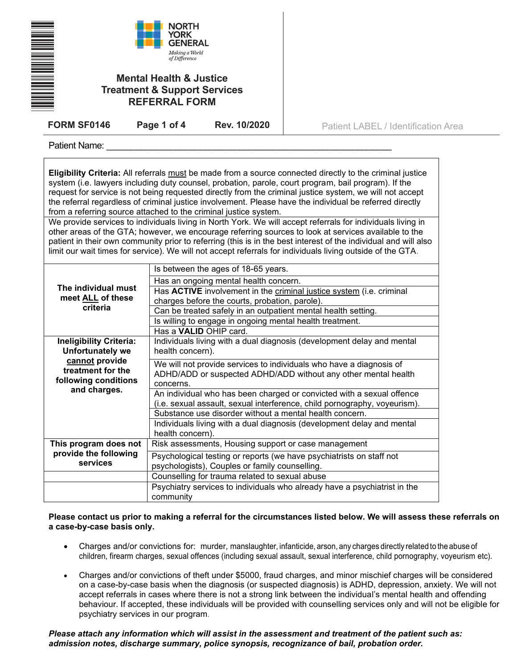|                                                                                                                                | <b>NORTH</b><br>YORK<br><b>GENERAL</b><br>Making a World<br>of Difference<br><b>Mental Health &amp; Justice</b><br><b>Treatment &amp; Support Services</b><br><b>REFERRAL FORM</b>                                                                                                                                                                            |              |                                                                                                                                                                                                                                                                                                                                                                                                                                                                                                                                                                                                                                                                                                                                                                                                                                                                                                   |  |
|--------------------------------------------------------------------------------------------------------------------------------|---------------------------------------------------------------------------------------------------------------------------------------------------------------------------------------------------------------------------------------------------------------------------------------------------------------------------------------------------------------|--------------|---------------------------------------------------------------------------------------------------------------------------------------------------------------------------------------------------------------------------------------------------------------------------------------------------------------------------------------------------------------------------------------------------------------------------------------------------------------------------------------------------------------------------------------------------------------------------------------------------------------------------------------------------------------------------------------------------------------------------------------------------------------------------------------------------------------------------------------------------------------------------------------------------|--|
| <b>FORM SF0146</b>                                                                                                             | Page 1 of 4                                                                                                                                                                                                                                                                                                                                                   | Rev. 10/2020 | Patient LABEL / Identification Area                                                                                                                                                                                                                                                                                                                                                                                                                                                                                                                                                                                                                                                                                                                                                                                                                                                               |  |
| Patient Name:                                                                                                                  |                                                                                                                                                                                                                                                                                                                                                               |              |                                                                                                                                                                                                                                                                                                                                                                                                                                                                                                                                                                                                                                                                                                                                                                                                                                                                                                   |  |
| from a referring source attached to the criminal justice system.                                                               |                                                                                                                                                                                                                                                                                                                                                               |              | Eligibility Criteria: All referrals must be made from a source connected directly to the criminal justice<br>system (i.e. lawyers including duty counsel, probation, parole, court program, bail program). If the<br>request for service is not being requested directly from the criminal justice system, we will not accept<br>the referral regardless of criminal justice involvement. Please have the individual be referred directly<br>We provide services to individuals living in North York. We will accept referrals for individuals living in<br>other areas of the GTA; however, we encourage referring sources to look at services available to the<br>patient in their own community prior to referring (this is in the best interest of the individual and will also<br>limit our wait times for service). We will not accept referrals for individuals living outside of the GTA. |  |
| The individual must<br>meet ALL of these<br>criteria                                                                           | Is between the ages of 18-65 years.<br>Has an ongoing mental health concern.<br>Has ACTIVE involvement in the criminal justice system (i.e. criminal<br>charges before the courts, probation, parole).<br>Can be treated safely in an outpatient mental health setting.<br>Is willing to engage in ongoing mental health treatment.<br>Has a VALID OHIP card. |              |                                                                                                                                                                                                                                                                                                                                                                                                                                                                                                                                                                                                                                                                                                                                                                                                                                                                                                   |  |
| Ineligibility Criteria:<br><b>Unfortunately we</b><br>cannot provide<br>treatment for the<br>والقالم مرمرم ومرمود ومرورا المكر | Individuals living with a dual diagnosis (development delay and mental<br>health concern).<br>We will not provide services to individuals who have a diagnosis of<br>ADHD/ADD or suspected ADHD/ADD without any other mental health                                                                                                                           |              |                                                                                                                                                                                                                                                                                                                                                                                                                                                                                                                                                                                                                                                                                                                                                                                                                                                                                                   |  |

| treatment for the     | ADHD/ADD or suspected ADHD/ADD without any other mental health            |  |  |  |
|-----------------------|---------------------------------------------------------------------------|--|--|--|
| following conditions  | concerns.                                                                 |  |  |  |
| and charges.          | An individual who has been charged or convicted with a sexual offence     |  |  |  |
|                       | (i.e. sexual assault, sexual interference, child pornography, voyeurism). |  |  |  |
|                       | Substance use disorder without a mental health concern.                   |  |  |  |
|                       | Individuals living with a dual diagnosis (development delay and mental    |  |  |  |
|                       | health concern).                                                          |  |  |  |
| This program does not | Risk assessments, Housing support or case management                      |  |  |  |
| provide the following | Psychological testing or reports (we have psychiatrists on staff not      |  |  |  |
| services              | psychologists), Couples or family counselling.                            |  |  |  |
|                       | Counselling for trauma related to sexual abuse                            |  |  |  |
|                       | Psychiatry services to individuals who already have a psychiatrist in the |  |  |  |
|                       | community                                                                 |  |  |  |

## **Please contact us prior to making a referral for the circumstances listed below. We will assess these referrals on a case-by-case basis only.**

- Charges and/or convictions for: murder, manslaughter, infanticide, arson, any charges directly related to the abuse of children, firearm charges, sexual offences (including sexual assault, sexual interference, child pornography, voyeurism etc).
- Charges and/or convictions of theft under \$5000, fraud charges, and minor mischief charges will be considered on a case-by-case basis when the diagnosis (or suspected diagnosis) is ADHD, depression, anxiety. We will not accept referrals in cases where there is not a strong link between the individual's mental health and offending behaviour. If accepted, these individuals will be provided with counselling services only and will not be eligible for psychiatry services in our program.

*Please attach any information which will assist in the assessment and treatment of the patient such as: admission notes, discharge summary, police synopsis, recognizance of bail, probation order.*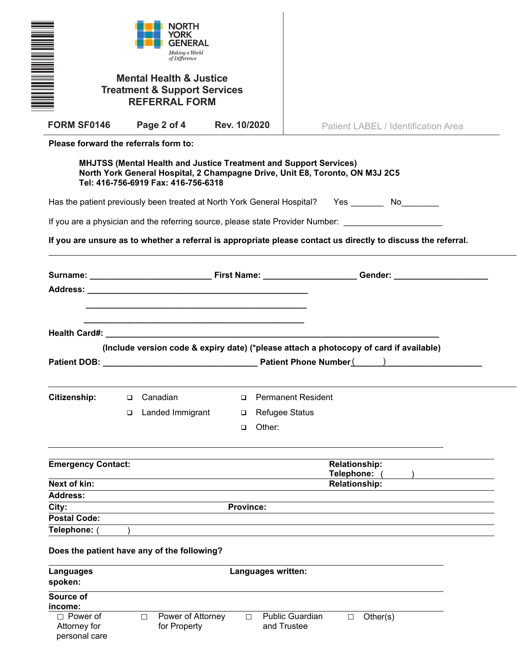| <u>Mana</u>                                                                                                   |   | NORTH<br>GENERAL<br>Making a World<br>of Difference<br><b>Mental Health &amp; Justice</b><br><b>Treatment &amp; Support Services</b><br><b>REFERRAL FORM</b>                                    |                  |                    |                           |        |                                    |                                     |  |
|---------------------------------------------------------------------------------------------------------------|---|-------------------------------------------------------------------------------------------------------------------------------------------------------------------------------------------------|------------------|--------------------|---------------------------|--------|------------------------------------|-------------------------------------|--|
| <b>FORM SF0146</b>                                                                                            |   | Page 2 of 4 Rev. 10/2020                                                                                                                                                                        |                  |                    |                           |        |                                    | Patient LABEL / Identification Area |  |
| Please forward the referrals form to:                                                                         |   |                                                                                                                                                                                                 |                  |                    |                           |        |                                    |                                     |  |
|                                                                                                               |   | <b>MHJTSS (Mental Health and Justice Treatment and Support Services)</b><br>North York General Hospital, 2 Champagne Drive, Unit E8, Toronto, ON M3J 2C5<br>Tel: 416-756-6919 Fax: 416-756-6318 |                  |                    |                           |        |                                    |                                     |  |
| Has the patient previously been treated at North York General Hospital? Yes No                                |   |                                                                                                                                                                                                 |                  |                    |                           |        |                                    |                                     |  |
| If you are a physician and the referring source, please state Provider Number: _____________________          |   |                                                                                                                                                                                                 |                  |                    |                           |        |                                    |                                     |  |
| If you are unsure as to whether a referral is appropriate please contact us directly to discuss the referral. |   |                                                                                                                                                                                                 |                  |                    |                           |        |                                    |                                     |  |
|                                                                                                               |   |                                                                                                                                                                                                 |                  |                    |                           |        |                                    |                                     |  |
|                                                                                                               |   |                                                                                                                                                                                                 |                  |                    |                           |        |                                    |                                     |  |
|                                                                                                               |   |                                                                                                                                                                                                 |                  |                    |                           |        |                                    |                                     |  |
|                                                                                                               |   | <u> 1989 - Johann John Stein, mark ar yw y cyfeiriad y cyfeiriad y cyfeiriad y cyfeiriad y cyfeiriad y cyfeiriad</u>                                                                            |                  |                    |                           |        |                                    |                                     |  |
|                                                                                                               |   | (Include version code & expiry date) (*please attach a photocopy of card if available)                                                                                                          |                  |                    |                           |        |                                    |                                     |  |
|                                                                                                               |   |                                                                                                                                                                                                 |                  |                    |                           |        |                                    |                                     |  |
| Citizenship:                                                                                                  | □ | Canadian                                                                                                                                                                                        | □                |                    | <b>Permanent Resident</b> |        |                                    |                                     |  |
|                                                                                                               | □ | Landed Immigrant                                                                                                                                                                                | □                |                    | <b>Refugee Status</b>     |        |                                    |                                     |  |
|                                                                                                               |   |                                                                                                                                                                                                 | $\Box$           | Other:             |                           |        |                                    |                                     |  |
|                                                                                                               |   |                                                                                                                                                                                                 |                  |                    |                           |        |                                    |                                     |  |
| <b>Emergency Contact:</b>                                                                                     |   |                                                                                                                                                                                                 |                  |                    |                           |        | Relationship:                      |                                     |  |
| Next of kin:                                                                                                  |   |                                                                                                                                                                                                 |                  |                    |                           |        | Telephone:<br><b>Relationship:</b> |                                     |  |
| <b>Address:</b>                                                                                               |   |                                                                                                                                                                                                 |                  |                    |                           |        |                                    |                                     |  |
| City:                                                                                                         |   |                                                                                                                                                                                                 | <b>Province:</b> |                    |                           |        |                                    |                                     |  |
| <b>Postal Code:</b>                                                                                           |   |                                                                                                                                                                                                 |                  |                    |                           |        |                                    |                                     |  |
| Telephone: (<br>Does the patient have any of the following?                                                   |   |                                                                                                                                                                                                 |                  |                    |                           |        |                                    |                                     |  |
| <b>Languages</b><br>spoken:                                                                                   |   |                                                                                                                                                                                                 |                  | Languages written: |                           |        |                                    |                                     |  |
| Source of<br>income:<br>$\Box$ Power of                                                                       |   | Power of Attorney<br>$\Box$                                                                                                                                                                     | $\Box$           |                    | <b>Public Guardian</b>    | $\Box$ | Other(s)                           |                                     |  |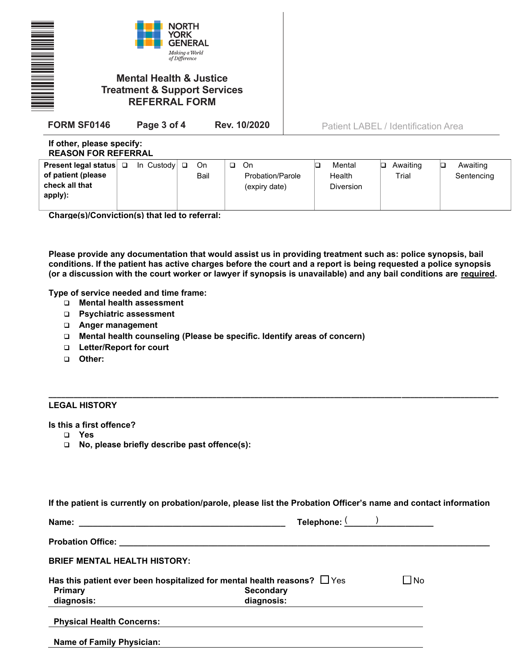| <b>NORTH</b><br><b>YORK</b><br><b>GENERAL</b><br>Making a World<br>of Difference<br><b>Mental Health &amp; Justice</b><br><b>Treatment &amp; Support Services</b><br><b>REFERRAL FORM</b> |                             |            |                                                   |                               |                                     |                             |  |
|-------------------------------------------------------------------------------------------------------------------------------------------------------------------------------------------|-----------------------------|------------|---------------------------------------------------|-------------------------------|-------------------------------------|-----------------------------|--|
| <b>FORM SF0146</b>                                                                                                                                                                        | Page 3 of 4                 |            | Rev. 10/2020                                      |                               | Patient LABEL / Identification Area |                             |  |
| If other, please specify:<br><b>REASON FOR REFERRAL</b>                                                                                                                                   |                             |            |                                                   |                               |                                     |                             |  |
| Present legal status<br>of patient (please<br>check all that                                                                                                                              | In Custody $\Box$<br>$\Box$ | On<br>Bail | On<br>$\Box$<br>Probation/Parole<br>(expiry date) | Mental<br>Health<br>Diversion | Awaiting<br>⊡<br>Trial              | Awaiting<br>o<br>Sentencing |  |

**Charge(s)/Conviction(s) that led to referral:** 

**Please provide any documentation that would assist us in providing treatment such as: police synopsis, bail conditions. If the patient has active charges before the court and a report is being requested a police synopsis (or a discussion with the court worker or lawyer if synopsis is unavailable) and any bail conditions are required.** 

**Type of service needed and time frame:** 

- ❑ **Mental health assessment**
- ❑ **Psychiatric assessment**
- ❑ **Anger management**
- ❑ **Mental health counseling (Please be specific. Identify areas of concern)**
- ❑ **Letter/Report for court**
- ❑ **Other:**

**apply):** 

## **LEGAL HISTORY**

**Is this a first offence?** 

- ❑ **Yes**
- ❑ **No, please briefly describe past offence(s):**

|  | If the patient is currently on probation/parole, please list the Probation Officer's name and contact information |
|--|-------------------------------------------------------------------------------------------------------------------|
|--|-------------------------------------------------------------------------------------------------------------------|

**\_\_\_\_\_\_\_\_\_\_\_\_\_\_\_\_\_\_\_\_\_\_\_\_\_\_\_\_\_\_\_\_\_\_\_\_\_\_\_\_\_\_\_\_\_\_\_\_\_\_\_\_\_\_\_\_\_\_\_\_\_\_\_\_\_\_\_\_\_\_\_\_\_\_\_\_\_\_\_\_\_\_\_\_\_\_\_\_\_\_\_\_\_\_\_\_\_\_\_\_\_\_\_\_\_\_\_**

| Name:                               | Telephone: ( )                                                                |           |
|-------------------------------------|-------------------------------------------------------------------------------|-----------|
|                                     |                                                                               |           |
| <b>BRIEF MENTAL HEALTH HISTORY:</b> |                                                                               |           |
|                                     | Has this patient ever been hospitalized for mental health reasons? $\Box$ Yes | $\Box$ No |
| <b>Primary</b>                      | <b>Secondary</b>                                                              |           |
| diagnosis:                          | diagnosis:                                                                    |           |
| <b>Physical Health Concerns:</b>    |                                                                               |           |
| <b>Name of Family Physician:</b>    |                                                                               |           |